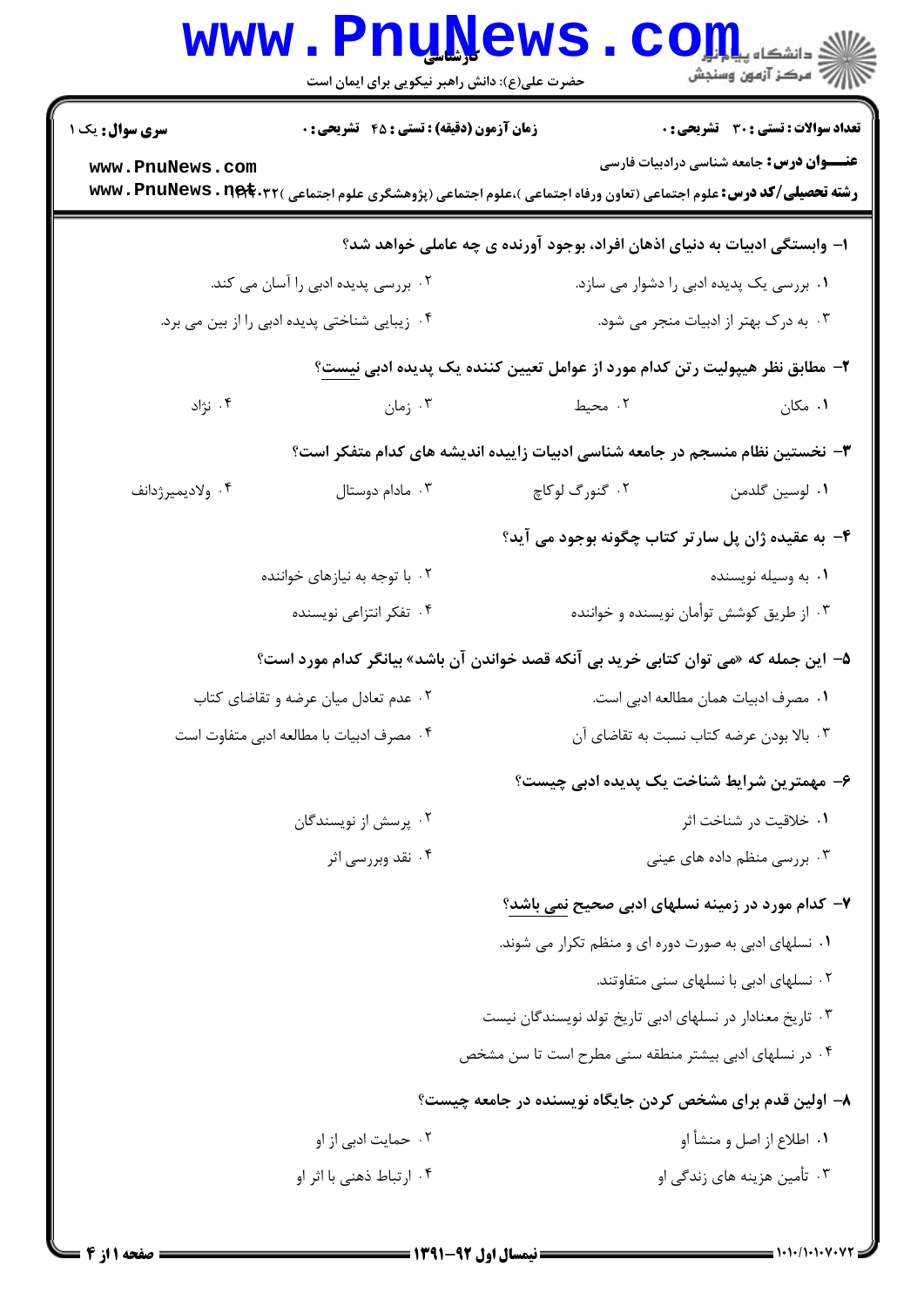|                        | <b>www.PnuNews</b><br>حضرت علی(ع): دانش راهبر نیکویی برای ایمان است |                                                                                                                                                 |                                                   |  |
|------------------------|---------------------------------------------------------------------|-------------------------------------------------------------------------------------------------------------------------------------------------|---------------------------------------------------|--|
| <b>سری سوال :</b> یک ۱ | <b>زمان آزمون (دقیقه) : تستی : 45 گشریحی : 0</b>                    |                                                                                                                                                 | <b>تعداد سوالات : تستی : 30 ٪ تشریحی : 0</b>      |  |
| www.PnuNews.com        |                                                                     | <b>رشته تحصیلی/کد درس:</b> علوم اجتماعی (تعاون ورفاه اجتماعی )،علوم اجتماعی (پژوهشگری علوم اجتماعی ) <b>www . PnuNews . n<del>et</del> . ۳۲</b> | <b>عنــــوان درس :</b> جامعه شناسی درادبیات فارسی |  |
|                        |                                                                     | ا– وابستگی ادبیات به دنیای اذهان افراد، بوجود آورنده ی چه عاملی خواهد شد؟                                                                       |                                                   |  |
|                        | ۰۲ بررسی پدیده ادبی را آسان می کند.                                 |                                                                                                                                                 | ۰۱ بررسی یک پدیده ادبی را دشوار می سازد.          |  |
|                        | ۰۴ زیبایی شناختی پدیده ادبی را از بین می برد.                       |                                                                                                                                                 | ۰۳ به درک بهتر از ادبیات منجر می شود.             |  |
|                        |                                                                     | ۲–  مطابق نظر هیپولیت ر تن کدام مورد از عوامل تعیین کننده یک پدیده ادبی ن <u>یست</u> ؟                                                          |                                                   |  |
| ۰۴ نژاد                | ۰۳ زمان                                                             | ۰۲ محیط                                                                                                                                         | ۰۱ مکان                                           |  |
|                        |                                                                     | ۳- نخستین نظام منسجم در جامعه شناسی ادبیات زاییده اندیشه های کدام متفکر است؟                                                                    |                                                   |  |
| ۰۴ ولاديميرژدانف       | ۰۳ مادام دوستال                                                     | ۰۲ گنورگ لوکاچ                                                                                                                                  | ٠١. لوسين گلدمن                                   |  |
|                        |                                                                     | ۴- به عقیده ژان پل سارتر کتاب چگونه بوجود می آید؟                                                                                               |                                                   |  |
|                        | ۰۲ با توجه به نیازهای خواننده                                       |                                                                                                                                                 | ۰۱ به وسیله نویسنده                               |  |
|                        | ۰۴ تفکر انتزاعی نویسنده                                             | ۰۳ از طریق کوشش توأمان نویسنده و خواننده                                                                                                        |                                                   |  |
|                        |                                                                     | ۵–  این جمله که «می توان کتابی خرید بی آنکه قصد خواندن آن باشد» بیانگر کدام مورد است؟                                                           |                                                   |  |
|                        | ۰۲ عدم تعادل میان عرضه و تقاضای کتاب                                | ٠١ مصرف ادبيات همان مطالعه ادبي است.                                                                                                            |                                                   |  |
|                        | ۰۴ مصرف ادبیات با مطالعه ادبی متفاوت است                            | ۰۳ بالا بودن عرضه كتاب نسبت به تقاضاي آن                                                                                                        |                                                   |  |
|                        |                                                                     | ۶– مهمترین شرایط شناخت یک پدیده ادبی چیست؟                                                                                                      |                                                   |  |
|                        | ۰۲ پرسش از نویسندگان                                                |                                                                                                                                                 | ۰۱ خلاقیت در شناخت اثر                            |  |
|                        | ۰۴ نقد وبررسی اثر                                                   |                                                                                                                                                 | ۰۳ بررسی منظم داده های عینی                       |  |
|                        |                                                                     | ۷- کدام مورد در زمینه نسلهای ادبی صحیح <u>نمی</u> باشد؟                                                                                         |                                                   |  |
|                        |                                                                     | ۰۱ نسلهای ادبی به صورت دوره ای و منظم تکرار می شوند.                                                                                            |                                                   |  |
|                        |                                                                     |                                                                                                                                                 | ۰۲ نسلهای ادبی با نسلهای سنی متفاوتند.            |  |
|                        |                                                                     | ۰۳ تاریخ معنادار در نسلهای ادبی تاریخ تولد نویسندگان نیست                                                                                       |                                                   |  |
|                        |                                                                     | ۰۴ در نسلهای ادبی بیشتر منطقه سنی مطرح است تا سن مشخص                                                                                           |                                                   |  |
|                        |                                                                     | ۸– اولین قدم برای مشخص کردن جایگاه نویسنده در جامعه چیست؟                                                                                       |                                                   |  |
|                        | ۰۲ حمایت ادبی از او                                                 | ۰۱ اطلاع از اصل و منشأ او                                                                                                                       |                                                   |  |
|                        | ۰۴ ارتباط ذهنی با اثر او                                            |                                                                                                                                                 | ۰۳ تأمین هزینه های زندگی او                       |  |
|                        |                                                                     |                                                                                                                                                 |                                                   |  |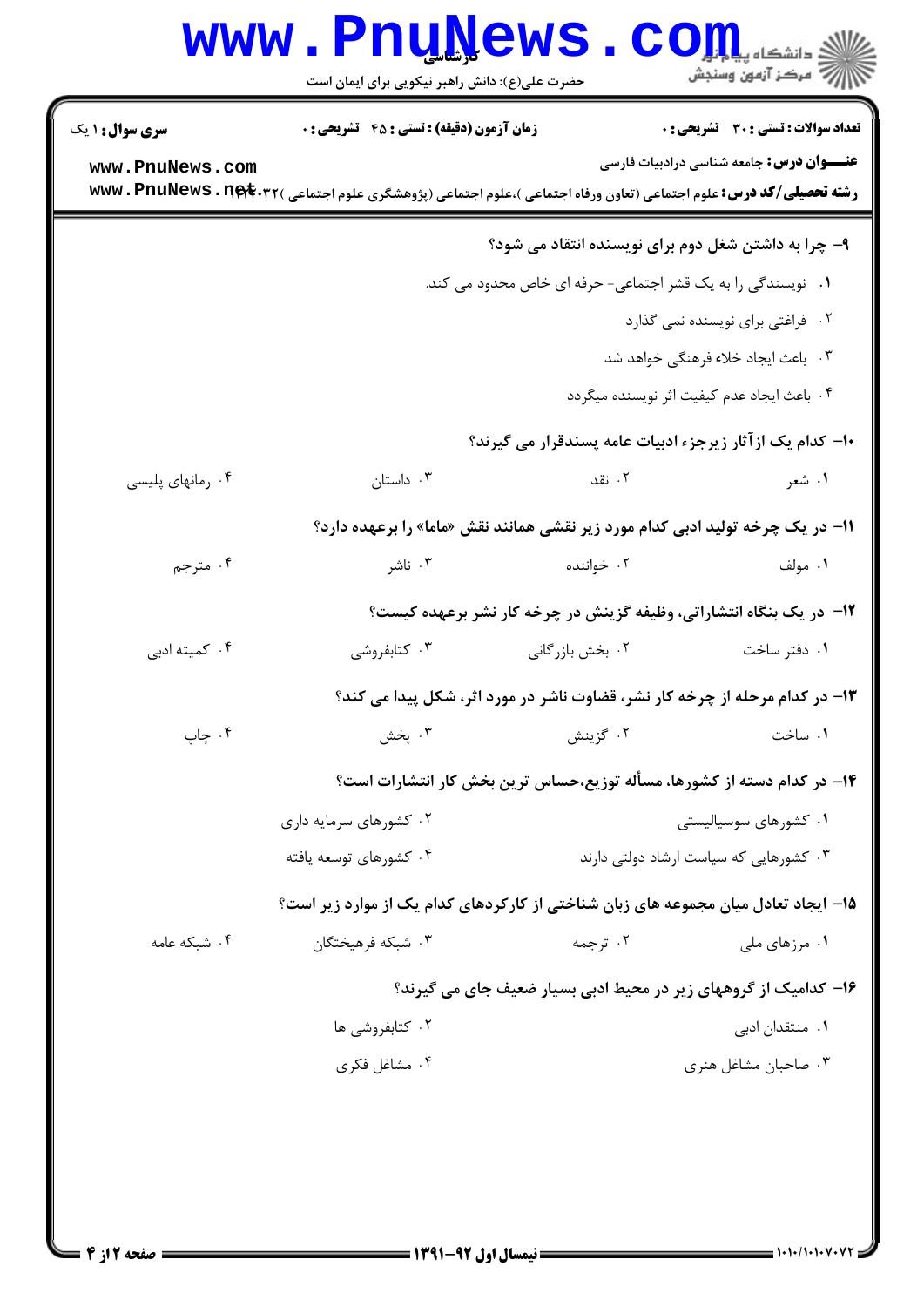|                        | <b>www.PnuNews</b><br>حضرت علی(ع): دانش راهبر نیکویی برای ایمان است                                                                             |                                                                                | ريد دانشڪاء پي¶ <mark>م آور</mark><br>ا∜ مرکز آزمون وسنجش |
|------------------------|-------------------------------------------------------------------------------------------------------------------------------------------------|--------------------------------------------------------------------------------|-----------------------------------------------------------|
| <b>سری سوال : ۱ یک</b> | <b>زمان آزمون (دقیقه) : تستی : 45 گشریحی : 0</b>                                                                                                |                                                                                | <b>تعداد سوالات : تستی : 30 ٪ تشریحی : 0</b>              |
| www.PnuNews.com        | <b>رشته تحصیلی/کد درس:</b> علوم اجتماعی (تعاون ورفاه اجتماعی )،علوم اجتماعی (پژوهشگری علوم اجتماعی ) <b>www . PnuNews . n<del>el</del>t</b> .۳۲ |                                                                                | <b>عنــــوان درس:</b> جامعه شناسی درادبیات فارسی          |
|                        |                                                                                                                                                 | ۹- چرا به داشتن شغل دوم برای نویسنده انتقاد می شود؟                            |                                                           |
|                        |                                                                                                                                                 | ۰۱ نویسندگی را به یک قشر اجتماعی- حرفه ای خاص محدود می کند.                    |                                                           |
|                        |                                                                                                                                                 |                                                                                | ۰۲ فراغتی برای نویسنده نمی گذارد                          |
|                        |                                                                                                                                                 |                                                                                | ۰۳ . باعث ایجاد خلاء فرهنگی خواهد شد                      |
|                        |                                                                                                                                                 |                                                                                | ۰۴ باعث ایجاد عدم کیفیت اثر نویسنده میگردد                |
|                        |                                                                                                                                                 | ∙ا− کدام یک از آثار زیرجزء ادبیات عامه پسندقرار می گیرند؟                      |                                                           |
| ۰۴ رمانهای پلیسی       | ۰۳ داستان                                                                                                                                       | ۰۲ نقد                                                                         | ۱. شعر                                                    |
|                        |                                                                                                                                                 | 11- در یک چرخه تولید ادبی کدام مورد زیر نقشی همانند نقش «ماما» را برعهده دارد؟ |                                                           |
| ۰۴ مترجم               | ۰۳ ناشر                                                                                                                                         | ۰۲ خواننده                                                                     | ۰۱ مولف                                                   |
|                        |                                                                                                                                                 | ۱۲- در یک بنگاه انتشاراتی، وظیفه گزینش در چرخه کار نشر برعهده کیست؟            |                                                           |
| ۰۴ کمیته ادبی          | ۰۳ کتابفروشی                                                                                                                                    | ۰۲ بخش بازرگانی                                                                | ۰۱ دفتر ساخت                                              |
|                        |                                                                                                                                                 | ۱۳- در کدام مرحله از چرخه کار نشر، قضاوت ناشر در مورد اثر، شکل پیدا می کند؟    |                                                           |
| ۰۴ چاپ                 | ۰۳ پخش                                                                                                                                          | ۰۲ گزينش                                                                       | ٠١. ساخت                                                  |
|                        | ۱۴- در کدام دسته از کشورها، مسأله توزیع،حساس ترین بخش کار انتشارات است؟                                                                         |                                                                                |                                                           |
|                        | ۰۲ کشورهای سرمایه داری                                                                                                                          | ۰۱ کشورهای سوسیالیستی                                                          |                                                           |
|                        | ۰۴ کشورهای توسعه یافته                                                                                                                          | ۰۳ کشورهایی که سیاست ارشاد دولتی دارند                                         |                                                           |
|                        | ۱۵– ایجاد تعادل میان مجموعه های زبان شناختی از کارکردهای کدام یک از موارد زیر است؟                                                              |                                                                                |                                                           |
| ۰۴ شبکه عامه           | ۰۳ شبکه فرهیختگان                                                                                                                               | ۰۲ ترجمه                                                                       | ۰۱ مرزهای ملی                                             |
|                        | ۱۶– کدامیک از گروههای زیر در محیط ادبی بسیار ضعیف جای می گیرند؟                                                                                 |                                                                                |                                                           |
|                        | ۰۲ کتابفروشی ها                                                                                                                                 |                                                                                | ۰۱ منتقدان ادبی                                           |
|                        | ۰۴ مشاغل فکری                                                                                                                                   |                                                                                | ۰۳ صاحبان مشاغل هنری                                      |
|                        |                                                                                                                                                 |                                                                                |                                                           |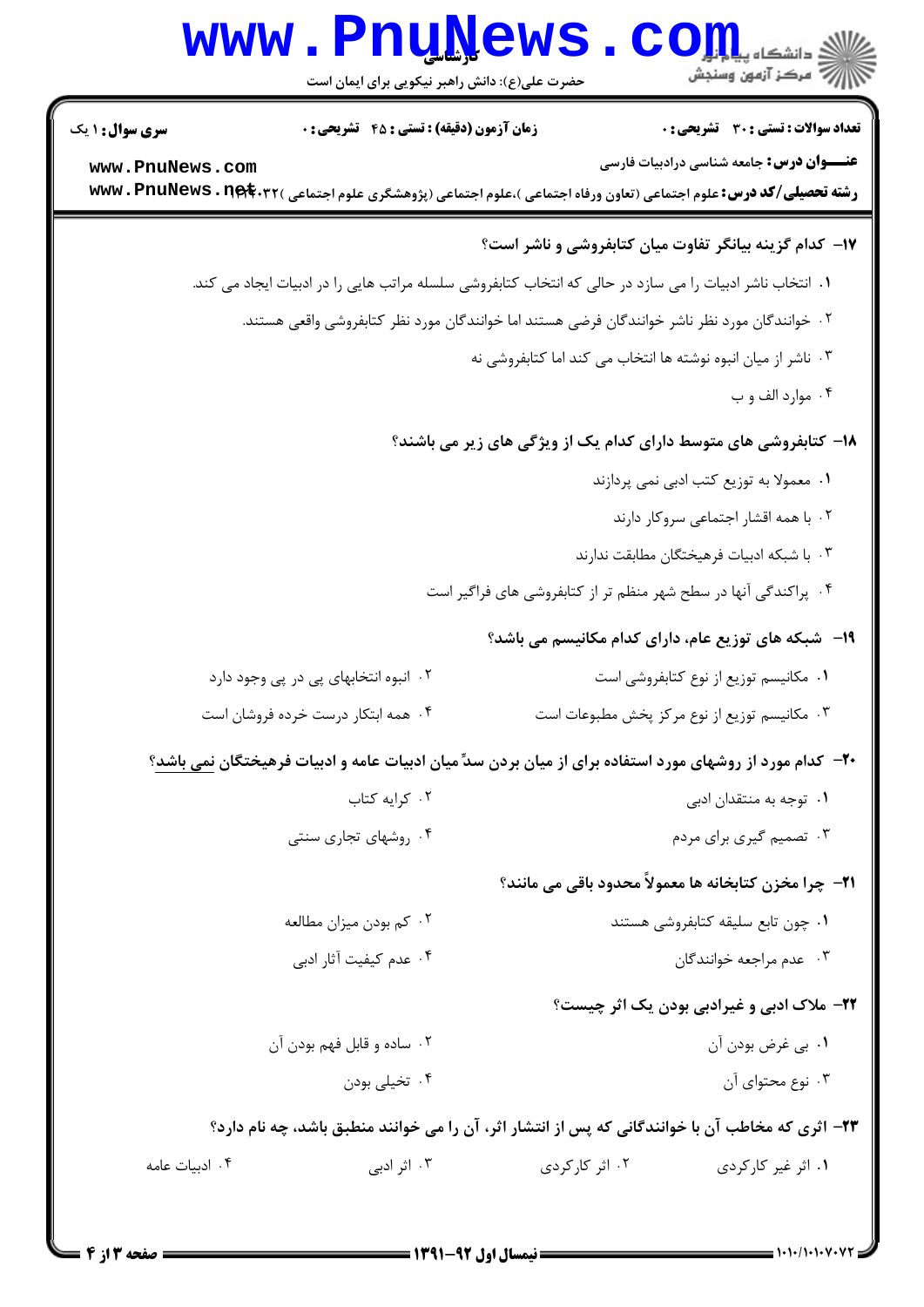|                        | <b>WWW</b><br>حضرت علی(ع): دانش راهبر نیکویی برای ایمان است                                                                     | <b>uññema</b> ,                                                 | د دانشگاه پ <b>یام</b><br>رِ ۖ مرڪز آزمون وسنڊش                  |
|------------------------|---------------------------------------------------------------------------------------------------------------------------------|-----------------------------------------------------------------|------------------------------------------------------------------|
| <b>سری سوال : ۱ یک</b> | <b>زمان آزمون (دقیقه) : تستی : 45 تشریحی : 0</b>                                                                                |                                                                 | <b>تعداد سوالات : تستی : 30 ٪ تشریحی : 0</b>                     |
| www.PnuNews.com        | <b>رشته تحصیلی/کد درس:</b> علوم اجتماعی (تعاون ورفاه اجتماعی )،علوم اجتماعی (پژوهشگری علوم اجتماعی ) <b>www . PnuNews . net</b> |                                                                 | <b>عنـــوان درس :</b> جامعه شناسی درادبیات فارسی                 |
|                        |                                                                                                                                 |                                                                 | ۱۷- کدام گزینه بیانگر تفاوت میان کتابفروشی و ناشر است؟           |
|                        | ۰۱ انتخاب ناشر ادبیات را می سازد در حالی که انتخاب کتابفروشی سلسله مراتب هایی را در ادبیات ایجاد می کند.                        |                                                                 |                                                                  |
|                        | ۲. خوانندگان مورد نظر ناشر خوانندگان فرضی هستند اما خوانندگان مورد نظر کتابفروشی واقعی هستند.                                   |                                                                 |                                                                  |
|                        | ۰۳ ناشر از میان انبوه نوشته ها انتخاب می کند اما کتابفروشی نه                                                                   |                                                                 |                                                                  |
|                        |                                                                                                                                 |                                                                 | ۰۴ موارد الف و ب                                                 |
|                        |                                                                                                                                 |                                                                 | ۱۸- کتابفروشی های متوسط دارای کدام یک از ویژگی های زیر می باشند؟ |
|                        | ۰۱ معمولا به توزیع کتب ادبی نمی پردازند                                                                                         |                                                                 |                                                                  |
|                        | ۰۲ با همه اقشار اجتماعی سروکار دارند                                                                                            |                                                                 |                                                                  |
|                        |                                                                                                                                 |                                                                 | ۰۳ با شبکه ادبیات فرهیختگان مطابقت ندارند                        |
|                        |                                                                                                                                 | ۰۴ پراکندگی آنها در سطح شهر منظم تر از کتابفروشی های فراگیر است |                                                                  |
|                        |                                                                                                                                 | ۱۹-۔ شبکه های توزیع عام، دارای کدام مکانیسم می باشد؟            |                                                                  |
|                        | ۰۲ انبوه انتخابهای پی در پی وجود دارد                                                                                           |                                                                 | ٠١ مكانيسم توزيع از نوع كتابفروشي است                            |
|                        | ۰۴ همه ابتکار درست خرده فروشان است                                                                                              |                                                                 | ۰۳ مکانیسم توزیع از نوع مرکز پخش مطبوعات است                     |
|                        | +۲- کدام مورد از روشهای مورد استفاده برای از میان بردن سدِّ میان ادبیات عامه و ادبیات فرهیختگان نمی باشد؟                       |                                                                 |                                                                  |
|                        | ٠٢ كرايه كتاب                                                                                                                   |                                                                 | ۰۱ توجه به منتقدان ادبی                                          |
|                        | ۰۴ روشهای تجاری سنتی                                                                                                            |                                                                 | ۰۳ تصمیم گیری برای مردم                                          |
|                        |                                                                                                                                 |                                                                 | <b>۲۱</b> - چرا مخزن کتابخانه ها معمولاً محدود باقی می مانند؟    |
|                        | ۰۲ کم بودن میزان مطالعه                                                                                                         |                                                                 | ٠١ چون تابع سليقه كتابفروشي هستند                                |
|                        | ۰۴ عدم كيفيت آثار ادبي                                                                                                          |                                                                 | ۰۳ عدم مراجعه خوانندگان                                          |
|                        |                                                                                                                                 |                                                                 | <b>۲۲</b> - ملاک ادبی و غیرادبی بودن یک اثر چیست؟                |
|                        | ۰۲ ساده و قابل فهم بودن آن                                                                                                      |                                                                 | ٠١. بي غرض بودن آن                                               |
|                        | ۰۴ تخیلی بودن                                                                                                                   |                                                                 | ۰۳ نوع محتوای آن                                                 |
|                        | ۲۳– اثری که مخاطب آن با خوانندگانی که پس از انتشار اثر، آن را می خوانند منطبق باشد، چه نام دارد؟                                |                                                                 |                                                                  |
| ۰۴ ادبیات عامه         | ۰۳ اثر ادبی                                                                                                                     | ۰۲ اثر کارکردی                                                  | ۰۱ اثر غیر کارکردی                                               |